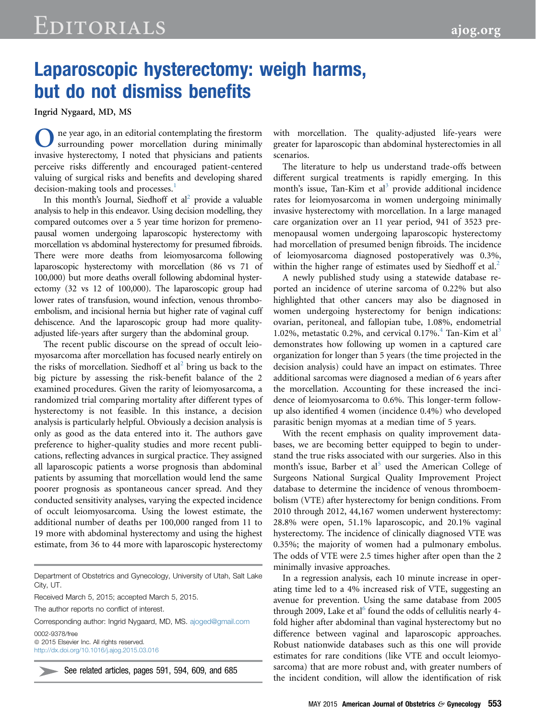## Laparoscopic hysterectomy: weigh harms, but do not dismiss benefits

Ingrid Nygaard, MD, MS

One year ago, in an editorial contemplating the firestorm surrounding power morcellation during minimally invasive hysterectomy, I noted that physicians and patients perceive risks differently and encouraged patient-centered valuing of surgical risks and benefits and developing shared decision-making tools and processes.<sup>[1](#page-1-0)</sup>

In this month's Journal, Siedhoff et  $al^2$  provide a valuable analysis to help in this endeavor. Using decision modelling, they compared outcomes over a 5 year time horizon for premenopausal women undergoing laparoscopic hysterectomy with morcellation vs abdominal hysterectomy for presumed fibroids. There were more deaths from leiomyosarcoma following laparoscopic hysterectomy with morcellation (86 vs 71 of 100,000) but more deaths overall following abdominal hysterectomy (32 vs 12 of 100,000). The laparoscopic group had lower rates of transfusion, wound infection, venous thromboembolism, and incisional hernia but higher rate of vaginal cuff dehiscence. And the laparoscopic group had more qualityadjusted life-years after surgery than the abdominal group.

The recent public discourse on the spread of occult leiomyosarcoma after morcellation has focused nearly entirely on the risks of morcellation. Siedhoff et  $al^2$  $al^2$  bring us back to the big picture by assessing the risk-benefit balance of the 2 examined procedures. Given the rarity of leiomyosarcoma, a randomized trial comparing mortality after different types of hysterectomy is not feasible. In this instance, a decision analysis is particularly helpful. Obviously a decision analysis is only as good as the data entered into it. The authors gave preference to higher-quality studies and more recent publications, reflecting advances in surgical practice. They assigned all laparoscopic patients a worse prognosis than abdominal patients by assuming that morcellation would lend the same poorer prognosis as spontaneous cancer spread. And they conducted sensitivity analyses, varying the expected incidence of occult leiomyosarcoma. Using the lowest estimate, the additional number of deaths per 100,000 ranged from 11 to 19 more with abdominal hysterectomy and using the highest estimate, from 36 to 44 more with laparoscopic hysterectomy

Department of Obstetrics and Gynecology, University of Utah, Salt Lake City, UT.

Received March 5, 2015; accepted March 5, 2015.

The author reports no conflict of interest.

Corresponding author: Ingrid Nygaard, MD, MS. [ajoged@gmail.com](mailto:ajoged@gmail.com) 0002-9378/free  $@$  2015 Elsevier Inc. All rights reserved.

<http://dx.doi.org/10.1016/j.ajog.2015.03.016>

See related articles, pages 591, 594, 609, and 685

with morcellation. The quality-adjusted life-years were greater for laparoscopic than abdominal hysterectomies in all scenarios.

The literature to help us understand trade-offs between different surgical treatments is rapidly emerging. In this month's issue, Tan-Kim et al<sup>[3](#page-1-0)</sup> provide additional incidence rates for leiomyosarcoma in women undergoing minimally invasive hysterectomy with morcellation. In a large managed care organization over an 11 year period, 941 of 3523 premenopausal women undergoing laparoscopic hysterectomy had morcellation of presumed benign fibroids. The incidence of leiomyosarcoma diagnosed postoperatively was 0.3%, within the higher range of estimates used by Siedhoff et al. $<sup>2</sup>$  $<sup>2</sup>$  $<sup>2</sup>$ </sup>

A newly published study using a statewide database reported an incidence of uterine sarcoma of 0.22% but also highlighted that other cancers may also be diagnosed in women undergoing hysterectomy for benign indications: ovarian, peritoneal, and fallopian tube, 1.08%, endometrial 1.02%, metastatic 0.2%, and cervical 0.17%.<sup>[4](#page-1-0)</sup> Tan-Kim et al<sup>[3](#page-1-0)</sup> demonstrates how following up women in a captured care organization for longer than 5 years (the time projected in the decision analysis) could have an impact on estimates. Three additional sarcomas were diagnosed a median of 6 years after the morcellation. Accounting for these increased the incidence of leiomyosarcoma to 0.6%. This longer-term followup also identified 4 women (incidence 0.4%) who developed parasitic benign myomas at a median time of 5 years.

With the recent emphasis on quality improvement databases, we are becoming better equipped to begin to understand the true risks associated with our surgeries. Also in this month's issue, Barber et al<sup>[5](#page-1-0)</sup> used the American College of Surgeons National Surgical Quality Improvement Project database to determine the incidence of venous thromboembolism (VTE) after hysterectomy for benign conditions. From 2010 through 2012, 44,167 women underwent hysterectomy: 28.8% were open, 51.1% laparoscopic, and 20.1% vaginal hysterectomy. The incidence of clinically diagnosed VTE was 0.35%; the majority of women had a pulmonary embolus. The odds of VTE were 2.5 times higher after open than the 2 minimally invasive approaches.

In a regression analysis, each 10 minute increase in operating time led to a 4% increased risk of VTE, suggesting an avenue for prevention. Using the same database from 2005 through 2009, Lake et al<sup>o</sup> found the odds of cellulitis nearly 4fold higher after abdominal than vaginal hysterectomy but no difference between vaginal and laparoscopic approaches. Robust nationwide databases such as this one will provide estimates for rare conditions (like VTE and occult leiomyosarcoma) that are more robust and, with greater numbers of the incident condition, will allow the identification of risk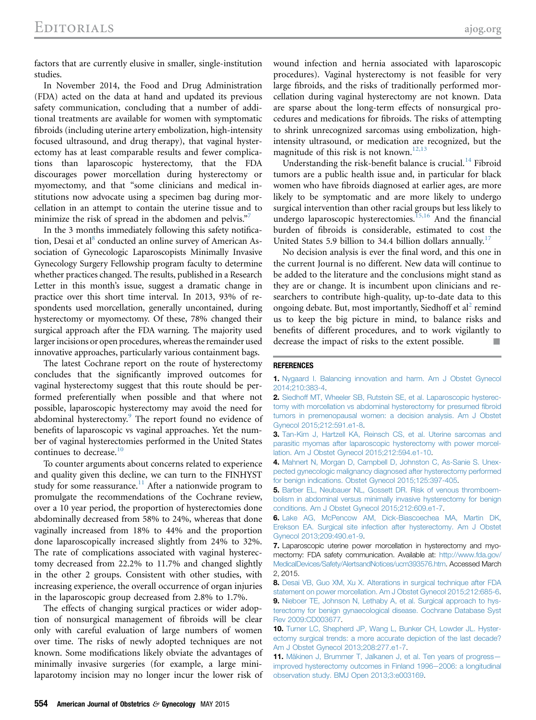<span id="page-1-0"></span>factors that are currently elusive in smaller, single-institution studies.

In November 2014, the Food and Drug Administration (FDA) acted on the data at hand and updated its previous safety communication, concluding that a number of additional treatments are available for women with symptomatic fibroids (including uterine artery embolization, high-intensity focused ultrasound, and drug therapy), that vaginal hysterectomy has at least comparable results and fewer complications than laparoscopic hysterectomy, that the FDA discourages power morcellation during hysterectomy or myomectomy, and that "some clinicians and medical institutions now advocate using a specimen bag during morcellation in an attempt to contain the uterine tissue and to minimize the risk of spread in the abdomen and pelvis."<sup>7</sup>

In the 3 months immediately following this safety notification, Desai et al<sup>8</sup> conducted an online survey of American Association of Gynecologic Laparoscopists Minimally Invasive Gynecology Surgery Fellowship program faculty to determine whether practices changed. The results, published in a Research Letter in this month's issue, suggest a dramatic change in practice over this short time interval. In 2013, 93% of respondents used morcellation, generally uncontained, during hysterectomy or myomectomy. Of these, 78% changed their surgical approach after the FDA warning. The majority used larger incisions or open procedures, whereas the remainder used innovative approaches, particularly various containment bags.

The latest Cochrane report on the route of hysterectomy concludes that the significantly improved outcomes for vaginal hysterectomy suggest that this route should be performed preferentially when possible and that where not possible, laparoscopic hysterectomy may avoid the need for abdominal hysterectomy.<sup>9</sup> The report found no evidence of benefits of laparoscopic vs vaginal approaches. Yet the number of vaginal hysterectomies performed in the United States continues to decrease.<sup>10</sup>

To counter arguments about concerns related to experience and quality given this decline, we can turn to the FINHYST study for some reassurance.<sup>11</sup> After a nationwide program to promulgate the recommendations of the Cochrane review, over a 10 year period, the proportion of hysterectomies done abdominally decreased from 58% to 24%, whereas that done vaginally increased from 18% to 44% and the proportion done laparoscopically increased slightly from 24% to 32%. The rate of complications associated with vaginal hysterectomy decreased from 22.2% to 11.7% and changed slightly in the other 2 groups. Consistent with other studies, with increasing experience, the overall occurrence of organ injuries in the laparoscopic group decreased from 2.8% to 1.7%.

The effects of changing surgical practices or wider adoption of nonsurgical management of fibroids will be clear only with careful evaluation of large numbers of women over time. The risks of newly adopted techniques are not known. Some modifications likely obviate the advantages of minimally invasive surgeries (for example, a large minilaparotomy incision may no longer incur the lower risk of wound infection and hernia associated with laparoscopic procedures). Vaginal hysterectomy is not feasible for very large fibroids, and the risks of traditionally performed morcellation during vaginal hysterectomy are not known. Data are sparse about the long-term effects of nonsurgical procedures and medications for fibroids. The risks of attempting to shrink unrecognized sarcomas using embolization, highintensity ultrasound, or medication are recognized, but the magnitude of this risk is not known.<sup>12,13</sup>

Understanding the risk-benefit balance is crucial.<sup>[14](#page-2-0)</sup> Fibroid tumors are a public health issue and, in particular for black women who have fibroids diagnosed at earlier ages, are more likely to be symptomatic and are more likely to undergo surgical intervention than other racial groups but less likely to undergo laparoscopic hysterectomies.<sup>[15,16](#page-2-0)</sup> And the financial burden of fibroids is considerable, estimated to cost the United States 5.9 billion to 34.4 billion dollars annually.<sup>[17](#page-2-0)</sup>

No decision analysis is ever the final word, and this one in the current Journal is no different. New data will continue to be added to the literature and the conclusions might stand as they are or change. It is incumbent upon clinicians and researchers to contribute high-quality, up-to-date data to this ongoing debate. But, most importantly, Siedhoff et al<sup>2</sup> remind us to keep the big picture in mind, to balance risks and benefits of different procedures, and to work vigilantly to decrease the impact of risks to the extent possible.

## **REFERENCES**

2. [Siedhoff MT, Wheeler SB, Rutstein SE, et al. Laparoscopic hysterec](http://refhub.elsevier.com/S0002-9378(15)00113-1/sref2)[tomy with morcellation vs abdominal hysterectomy for presumed](http://refhub.elsevier.com/S0002-9378(15)00113-1/sref2) fibroid [tumors in premenopausal women: a decision analysis. Am J Obstet](http://refhub.elsevier.com/S0002-9378(15)00113-1/sref2) [Gynecol 2015;212:591.e1-8](http://refhub.elsevier.com/S0002-9378(15)00113-1/sref2).

3. [Tan-Kim J, Hartzell KA, Reinsch CS, et al. Uterine sarcomas and](http://refhub.elsevier.com/S0002-9378(15)00113-1/sref3) [parasitic myomas after laparoscopic hysterectomy with power morcel](http://refhub.elsevier.com/S0002-9378(15)00113-1/sref3)[lation. Am J Obstet Gynecol 2015;212:594.e1-10.](http://refhub.elsevier.com/S0002-9378(15)00113-1/sref3)

4. [Mahnert N, Morgan D, Campbell D, Johnston C, As-Sanie S. Unex](http://refhub.elsevier.com/S0002-9378(15)00113-1/sref4)[pected gynecologic malignancy diagnosed after hysterectomy performed](http://refhub.elsevier.com/S0002-9378(15)00113-1/sref4) [for benign indications. Obstet Gynecol 2015;125:397-405.](http://refhub.elsevier.com/S0002-9378(15)00113-1/sref4)

5. [Barber EL, Neubauer NL, Gossett DR. Risk of venous thromboem](http://refhub.elsevier.com/S0002-9378(15)00113-1/sref17)[bolism in abdominal versus minimally invasive hysterectomy for benign](http://refhub.elsevier.com/S0002-9378(15)00113-1/sref17) [conditions. Am J Obstet Gynecol 2015;212:609.e1-7](http://refhub.elsevier.com/S0002-9378(15)00113-1/sref17).

6. [Lake AG, McPencow AM, Dick-Biascoechea MA, Martin DK,](http://refhub.elsevier.com/S0002-9378(15)00113-1/sref5) [Erekson EA. Surgical site infection after hysterectomy. Am J Obstet](http://refhub.elsevier.com/S0002-9378(15)00113-1/sref5) [Gynecol 2013;209:490.e1-9](http://refhub.elsevier.com/S0002-9378(15)00113-1/sref5).

7. Laparoscopic uterine power morcellation in hysterectomy and myomectomy: FDA safety communication. Available at: [http://www.fda.gov/](http://www.fda.gov/MedicalDevices/Safety/AlertsandNotices/ucm393576.htm) [MedicalDevices/Safety/AlertsandNotices/ucm393576.htm](http://www.fda.gov/MedicalDevices/Safety/AlertsandNotices/ucm393576.htm). Accessed March 2, 2015.

8. [Desai VB, Guo XM, Xu X. Alterations in surgical technique after FDA](http://refhub.elsevier.com/S0002-9378(15)00113-1/sref18) [statement on power morcellation. Am J Obstet Gynecol 2015;212:685-6.](http://refhub.elsevier.com/S0002-9378(15)00113-1/sref18) 9. [Nieboer TE, Johnson N, Lethaby A, et al. Surgical approach to hys](http://refhub.elsevier.com/S0002-9378(15)00113-1/sref6)[terectomy for benign gynaecological disease. Cochrane Database Syst](http://refhub.elsevier.com/S0002-9378(15)00113-1/sref6) [Rev 2009:CD003677](http://refhub.elsevier.com/S0002-9378(15)00113-1/sref6).

10. [Turner LC, Shepherd JP, Wang L, Bunker CH, Lowder JL. Hyster](http://refhub.elsevier.com/S0002-9378(15)00113-1/sref7)[ectomy surgical trends: a more accurate depiction of the last decade?](http://refhub.elsevier.com/S0002-9378(15)00113-1/sref7) [Am J Obstet Gynecol 2013;208:277.e1-7.](http://refhub.elsevier.com/S0002-9378(15)00113-1/sref7)

11. [Mäkinen J, Brummer T, Jalkanen J, et al. Ten years of progress](http://refhub.elsevier.com/S0002-9378(15)00113-1/sref8)[improved hysterectomy outcomes in Finland 1996](http://refhub.elsevier.com/S0002-9378(15)00113-1/sref8)-2006: a longitudinal [observation study. BMJ Open 2013;3:e003169.](http://refhub.elsevier.com/S0002-9378(15)00113-1/sref8)

<sup>1.</sup> [Nygaard I. Balancing innovation and harm. Am J Obstet Gynecol](http://refhub.elsevier.com/S0002-9378(15)00113-1/sref1) [2014;210:383-4](http://refhub.elsevier.com/S0002-9378(15)00113-1/sref1).